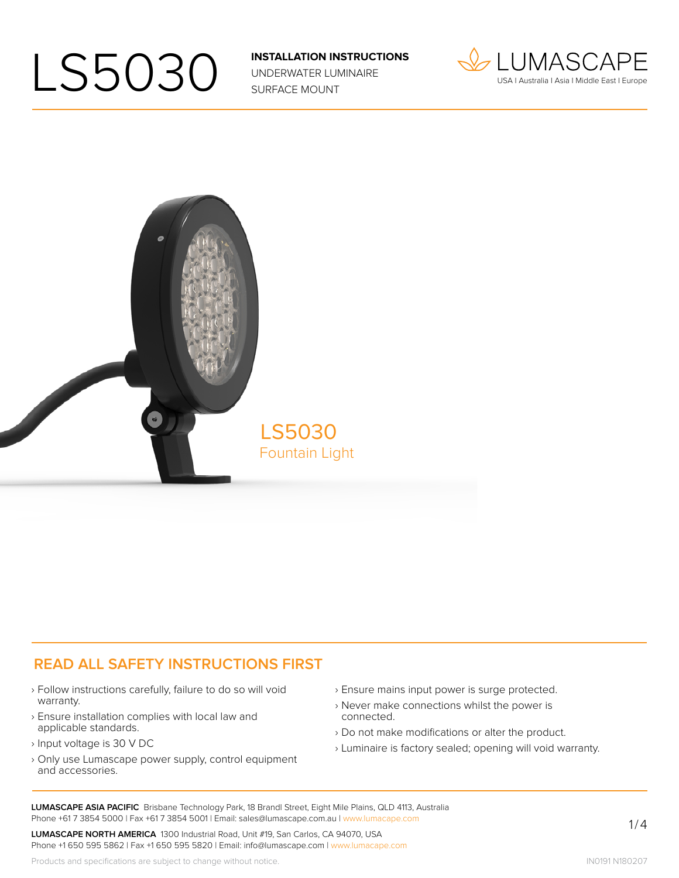UNDERWATER LUMINAIRE SURFACE MOUNT





#### **READ ALL SAFETY INSTRUCTIONS FIRST**

- › Follow instructions carefully, failure to do so will void warranty.
- › Ensure installation complies with local law and applicable standards.
- › Input voltage is 30 V DC
- › Only use Lumascape power supply, control equipment and accessories.
- › Ensure mains input power is surge protected.
- › Never make connections whilst the power is connected.
- › Do not make modifications or alter the product.
- › Luminaire is factory sealed; opening will void warranty.

**LUMASCAPE ASIA PACIFIC** Brisbane Technology Park, 18 Brandl Street, Eight Mile Plains, QLD 4113, Australia Phone +61 7 3854 5000 | Fax +61 7 3854 5001 | Email: sales@lumascape.com.au | www.lumacape.com

**LUMASCAPE NORTH AMERICA** 1300 Industrial Road, Unit #19, San Carlos, CA 94070, USA Phone +1 650 595 5862 | Fax +1 650 595 5820 | Email: info@lumascape.com | www.lumacape.com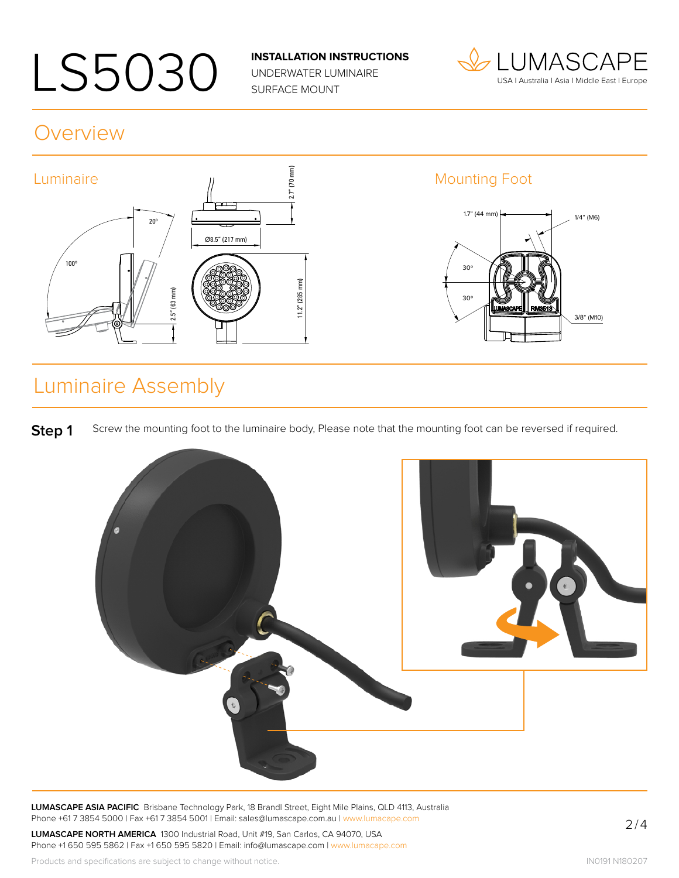UNDERWATER LUMINAIRE SURFACE MOUNT



#### Overview



### Luminaire Assembly

**Step 1** Screw the mounting foot to the luminaire body, Please note that the mounting foot can be reversed if required.



**LUMASCAPE ASIA PACIFIC** Brisbane Technology Park, 18 Brandl Street, Eight Mile Plains, QLD 4113, Australia Phone +61 7 3854 5000 | Fax +61 7 3854 5001 | Email: sales@lumascape.com.au | www.lumacape.com

**LUMASCAPE NORTH AMERICA** 1300 Industrial Road, Unit #19, San Carlos, CA 94070, USA Phone +1 650 595 5862 | Fax +1 650 595 5820 | Email: info@lumascape.com | www.lumacape.com

Products and specifications are subject to change without notice.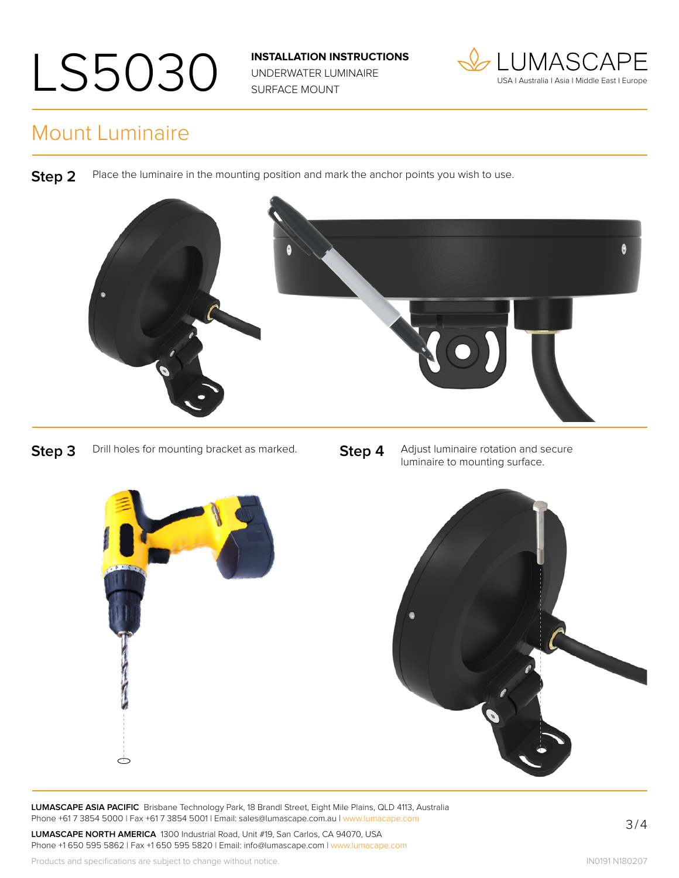UNDERWATER LUMINAIRE SURFACE MOUNT



#### Mount Luminaire

**Step 2** Place the luminaire in the mounting position and mark the anchor points you wish to use.



**Step 3** Drill holes for mounting bracket as marked. **Step 4** Adjust luminaire rotation and secure luminaire to mounting surface.



**LUMASCAPE ASIA PACIFIC** Brisbane Technology Park, 18 Brandl Street, Eight Mile Plains, QLD 4113, Australia Phone +61 7 3854 5000 | Fax +61 7 3854 5001 | Email: sales@lumascape.com.au | www.lumacape.com

**LUMASCAPE NORTH AMERICA** 1300 Industrial Road, Unit #19, San Carlos, CA 94070, USA Phone +1 650 595 5862 | Fax +1 650 595 5820 | Email: info@lumascape.com | www.lumacape.com